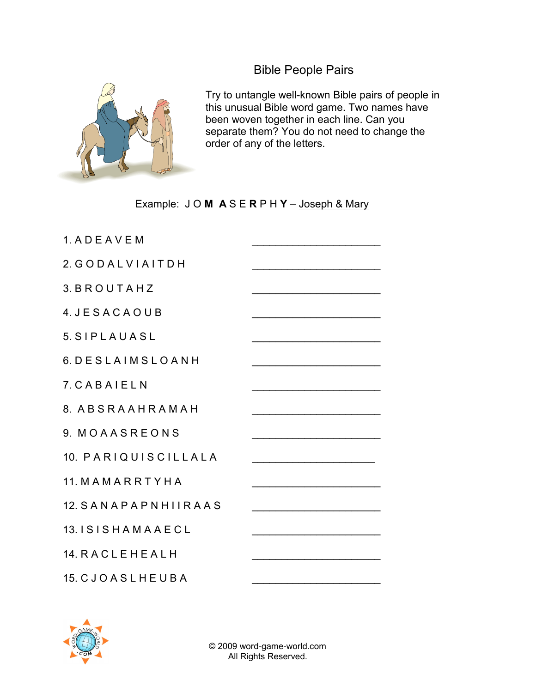Bible People Pairs



Try to untangle well-known Bible pairs of people in this unusual Bible word game. Two names have been woven together in each line. Can you separate them? You do not need to change the order of any of the letters.

## Example: JOM ASERPHY-Joseph & Mary

| 1. A D E A V E M    |                                                                                                                      |
|---------------------|----------------------------------------------------------------------------------------------------------------------|
| 2. GODALVIAITDH     |                                                                                                                      |
| 3. BROUTAHZ         |                                                                                                                      |
| 4. JESACAOUB        |                                                                                                                      |
| 5. SIPLAUASL        |                                                                                                                      |
| 6. DESLAIMSLOANH    |                                                                                                                      |
| 7. CABAIELN         |                                                                                                                      |
| 8. ABSRAAHRAMAH     |                                                                                                                      |
| 9. MOAASREONS       |                                                                                                                      |
| 10. PARIQUISCILLALA |                                                                                                                      |
| 11. MAMARRTYHA      | <u> 1980 - Johann John Stone, markin film yn y brenin y brenin y brenin y brenin y brenin y brenin y brenin y br</u> |
| 12. SANAPAPNHIIRAAS |                                                                                                                      |
| 13. ISISHAMAAECL    |                                                                                                                      |
| 14. RACLEHEALH      |                                                                                                                      |
| 15. CJOASLHEUBA     |                                                                                                                      |



© 2009 word-game-world.com All Rights Reserved.